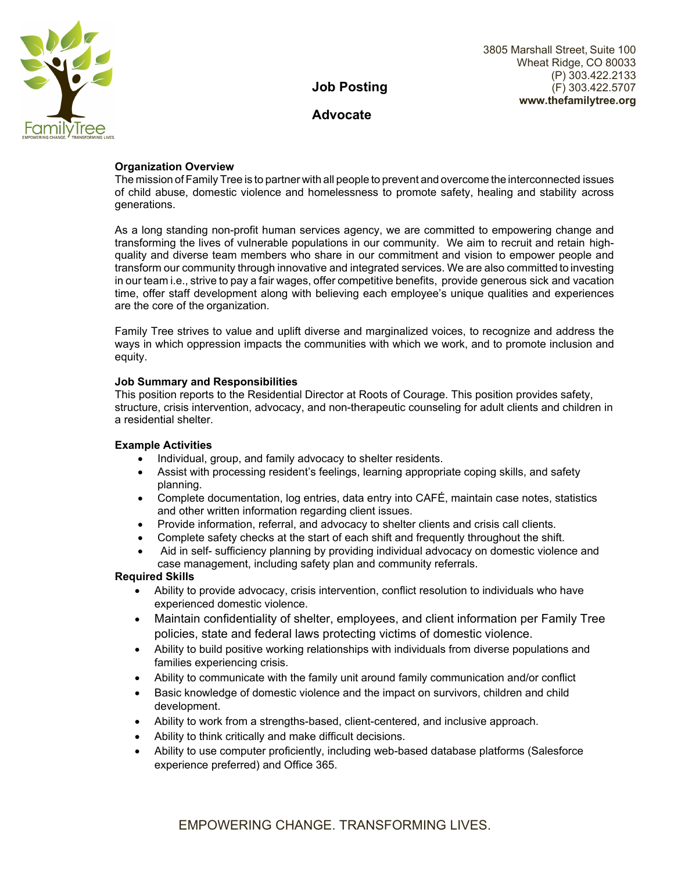

# **Job Posting**

## **Advocate**

## **Organization Overview**

The mission of Family Tree is to partner with all people to prevent and overcome the interconnected issues of child abuse, domestic violence and homelessness to promote safety, healing and stability across generations.

As a long standing non-profit human services agency, we are committed to empowering change and transforming the lives of vulnerable populations in our community. We aim to recruit and retain highquality and diverse team members who share in our commitment and vision to empower people and transform our community through innovative and integrated services. We are also committed to investing in our team i.e., strive to pay a fair wages, offer competitive benefits, provide generous sick and vacation time, offer staff development along with believing each employee's unique qualities and experiences are the core of the organization.

Family Tree strives to value and uplift diverse and marginalized voices, to recognize and address the ways in which oppression impacts the communities with which we work, and to promote inclusion and equity.

## **Job Summary and Responsibilities**

This position reports to the Residential Director at Roots of Courage. This position provides safety, structure, crisis intervention, advocacy, and non-therapeutic counseling for adult clients and children in a residential shelter.

## **Example Activities**

- Individual, group, and family advocacy to shelter residents.
- Assist with processing resident's feelings, learning appropriate coping skills, and safety planning.
- Complete documentation, log entries, data entry into CAFÉ, maintain case notes, statistics and other written information regarding client issues.
- Provide information, referral, and advocacy to shelter clients and crisis call clients.
- Complete safety checks at the start of each shift and frequently throughout the shift.
- Aid in self- sufficiency planning by providing individual advocacy on domestic violence and case management, including safety plan and community referrals.

## **Required Skills**

- Ability to provide advocacy, crisis intervention, conflict resolution to individuals who have experienced domestic violence.
- Maintain confidentiality of shelter, employees, and client information per Family Tree policies, state and federal laws protecting victims of domestic violence.
- Ability to build positive working relationships with individuals from diverse populations and families experiencing crisis.
- Ability to communicate with the family unit around family communication and/or conflict
- Basic knowledge of domestic violence and the impact on survivors, children and child development.
- Ability to work from a strengths-based, client-centered, and inclusive approach.
- Ability to think critically and make difficult decisions.
- Ability to use computer proficiently, including web-based database platforms (Salesforce experience preferred) and Office 365.